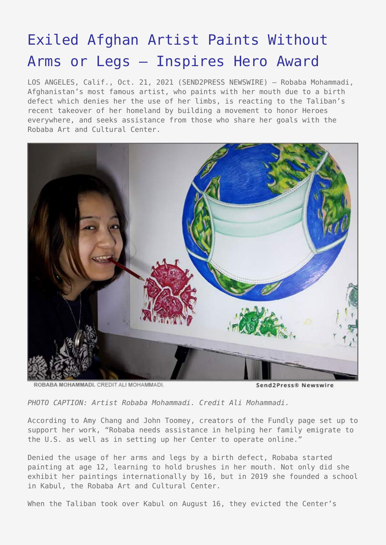## [Exiled Afghan Artist Paints Without](https://www.send2press.com/wire/exiled-afghan-artist-paints-without-arms-or-legs-inspires-hero-award/) [Arms or Legs – Inspires Hero Award](https://www.send2press.com/wire/exiled-afghan-artist-paints-without-arms-or-legs-inspires-hero-award/)

LOS ANGELES, Calif., Oct. 21, 2021 (SEND2PRESS NEWSWIRE) — Robaba Mohammadi, Afghanistan's most famous artist, who paints with her mouth due to a birth defect which denies her the use of her limbs, is reacting to the Taliban's recent takeover of her homeland by building a movement to honor Heroes everywhere, and seeks assistance from those who share her goals with the Robaba Art and Cultural Center.



ROBABA MOHAMMADI, CREDIT ALI MOHAMMADI.

Send2Press®

*PHOTO CAPTION: Artist Robaba Mohammadi. Credit Ali Mohammadi.*

According to Amy Chang and John Toomey, creators of the Fundly page set up to support her work, "Robaba needs assistance in helping her family emigrate to the U.S. as well as in setting up her Center to operate online."

Denied the usage of her arms and legs by a birth defect, Robaba started painting at age 12, learning to hold brushes in her mouth. Not only did she exhibit her paintings internationally by 16, but in 2019 she founded a school in Kabul, the Robaba Art and Cultural Center.

When the Taliban took over Kabul on August 16, they evicted the Center's